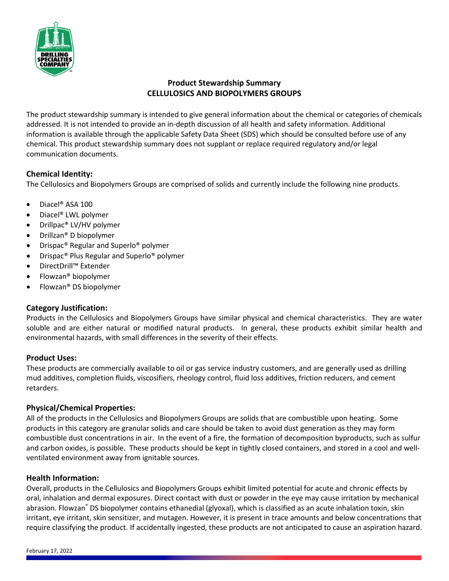

# **Product Stewardship Summary CELLULOSICS AND BIOPOLYMERS GROUPS**

The product stewardship summary is intended to give general information about the chemical or categories of chemicals addressed. It is not intended to provide an in-depth discussion of all health and safety information. Additional information is available through the applicable Safety Data Sheet (SDS) which should be consulted before use of any chemical. This product stewardship summary does not supplant or replace required regulatory and/or legal communication documents.

# **Chemical Identity:**

The Cellulosics and Biopolymers Groups are comprised of solids and currently include the following nine products.

- Diacel® ASA 100
- Diacel® LWL polymer
- Drillpac® LV/HV polymer
- Drillzan® D biopolymer
- Drispac® Regular and Superlo® polymer
- Drispac® Plus Regular and Superlo® polymer
- DirectDrill™ Extender
- Flowzan® biopolymer
- Flowzan® DS biopolymer

## **Category Justification:**

Products in the Cellulosics and Biopolymers Groups have similar physical and chemical characteristics. They are water soluble and are either natural or modified natural products. In general, these products exhibit similar health and environmental hazards, with small differences in the severity of their effects.

## **Product Uses:**

These products are commercially available to oil or gas service industry customers, and are generally used as drilling mud additives, completion fluids, viscosifiers, rheology control, fluid loss additives, friction reducers, and cement retarders.

## **Physical/Chemical Properties:**

All of the products in the Cellulosics and Biopolymers Groups are solids that are combustible upon heating. Some products in this category are granular solids and care should be taken to avoid dust generation as they may form combustible dust concentrations in air. In the event of a fire, the formation of decomposition byproducts, such as sulfur and carbon oxides, is possible. These products should be kept in tightly closed containers, and stored in a cool and wellventilated environment away from ignitable sources.

## **Health Information:**

Overall, products in the Cellulosics and Biopolymers Groups exhibit limited potential for acute and chronic effects by oral, inhalation and dermal exposures. Direct contact with dust or powder in the eye may cause irritation by mechanical abrasion. Flowzan® DS biopolymer contains ethanedial (glyoxal), which is classified as an acute inhalation toxin, skin irritant, eye irritant, skin sensitizer, and mutagen. However, it is present in trace amounts and below concentrations that require classifying the product. If accidentally ingested, these products are not anticipated to cause an aspiration hazard.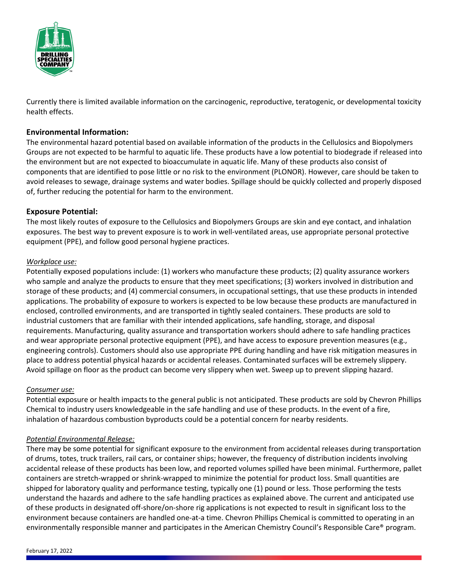

Currently there is limited available information on the carcinogenic, reproductive, teratogenic, or developmental toxicity health effects.

## **Environmental Information:**

The environmental hazard potential based on available information of the products in the Cellulosics and Biopolymers Groups are not expected to be harmful to aquatic life. These products have a low potential to biodegrade if released into the environment but are not expected to bioaccumulate in aquatic life. Many of these products also consist of components that are identified to pose little or no risk to the environment (PLONOR). However, care should be taken to avoid releases to sewage, drainage systems and water bodies. Spillage should be quickly collected and properly disposed of, further reducing the potential for harm to the environment.

## **Exposure Potential:**

The most likely routes of exposure to the Cellulosics and Biopolymers Groups are skin and eye contact, and inhalation exposures. The best way to prevent exposure is to work in well-ventilated areas, use appropriate personal protective equipment (PPE), and follow good personal hygiene practices.

### *Workplace use:*

Potentially exposed populations include: (1) workers who manufacture these products; (2) quality assurance workers who sample and analyze the products to ensure that they meet specifications; (3) workers involved in distribution and storage of these products; and (4) commercial consumers, in occupational settings, that use these products in intended applications. The probability of exposure to workers is expected to be low because these products are manufactured in enclosed, controlled environments, and are transported in tightly sealed containers. These products are sold to industrial customers that are familiar with their intended applications, safe handling, storage, and disposal requirements. Manufacturing, quality assurance and transportation workers should adhere to safe handling practices and wear appropriate personal protective equipment (PPE), and have access to exposure prevention measures (e.g., engineering controls). Customers should also use appropriate PPE during handling and have risk mitigation measures in place to address potential physical hazards or accidental releases. Contaminated surfaces will be extremely slippery. Avoid spillage on floor as the product can become very slippery when wet. Sweep up to prevent slipping hazard.

#### *Consumer use:*

Potential exposure or health impacts to the general public is not anticipated. These products are sold by Chevron Phillips Chemical to industry users knowledgeable in the safe handling and use of these products. In the event of a fire, inhalation of hazardous combustion byproducts could be a potential concern for nearby residents.

#### *Potential Environmental Release:*

There may be some potential for significant exposure to the environment from accidental releases during transportation of drums, totes, truck trailers, rail cars, or container ships; however, the frequency of distribution incidents involving accidental release of these products has been low, and reported volumes spilled have been minimal. Furthermore, pallet containers are stretch-wrapped or shrink-wrapped to minimize the potential for product loss. Small quantities are shipped for laboratory quality and performance testing, typically one (1) pound or less. Those performing the tests understand the hazards and adhere to the safe handling practices as explained above. The current and anticipated use of these products in designated off-shore/on-shore rig applications is not expected to result in significant loss to the environment because containers are handled one-at-a time. Chevron Phillips Chemical is committed to operating in an environmentally responsible manner and participates in the American Chemistry Council's Responsible Care® program.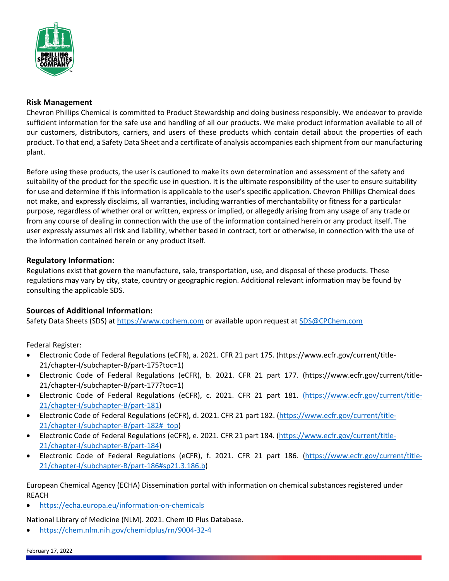

## **Risk Management**

Chevron Phillips Chemical is committed to Product Stewardship and doing business responsibly. We endeavor to provide sufficient information for the safe use and handling of all our products. We make product information available to all of our customers, distributors, carriers, and users of these products which contain detail about the properties of each product. To that end, a Safety Data Sheet and a certificate of analysis accompanies each shipment from our manufacturing plant.

Before using these products, the user is cautioned to make its own determination and assessment of the safety and suitability of the product for the specific use in question. It is the ultimate responsibility of the user to ensure suitability for use and determine if this information is applicable to the user's specific application. Chevron Phillips Chemical does not make, and expressly disclaims, all warranties, including warranties of merchantability or fitness for a particular purpose, regardless of whether oral or written, express or implied, or allegedly arising from any usage of any trade or from any course of dealing in connection with the use of the information contained herein or any product itself. The user expressly assumes all risk and liability, whether based in contract, tort or otherwise, in connection with the use of the information contained herein or any product itself.

### **Regulatory Information:**

Regulations exist that govern the manufacture, sale, transportation, use, and disposal of these products. These regulations may vary by city, state, country or geographic region. Additional relevant information may be found by consulting the applicable SDS.

## **Sources of Additional Information:**

Safety Data Sheets (SDS) a[t https://www.cpchem.com](https://www.cpchem.com/) or available upon request at [SDS@CPChem.com](mailto:SDS@CPChem.com)

Federal Register:

- Electronic Code of Federal Regulations (eCFR), a. 2021. CFR 21 part 175. (https://www.ecfr.gov/current/title-21/chapter-I/subchapter-B/part-175?toc=1)
- Electronic Code of Federal Regulations (eCFR), b. 2021. CFR 21 part 177. (https://www.ecfr.gov/current/title-21/chapter-I/subchapter-B/part-177?toc=1)
- Electronic Code of Federal Regulations (eCFR), c. 2021. CFR 21 part 181. (https://www.ecfr.gov/current/title-21/chapter-I/subchapter-B/part-181)
- Electronic Code of Federal Regulations (eCFR), d. 2021. CFR 21 part 182. [\(https://www.ecfr.gov/current/title-](https://www.ecfr.gov/current/title-21/chapter-I/subchapter-B/part-182%23_top)[21/chapter-I/subchapter-B/part-182#\\_top\)](https://www.ecfr.gov/current/title-21/chapter-I/subchapter-B/part-182%23_top)
- Electronic Code of Federal Regulations (eCFR), e. 2021. CFR 21 part 184. [\(https://www.ecfr.gov/current/title-](https://www.ecfr.gov/current/title-21/chapter-I/subchapter-B/part-184)[21/chapter-I/subchapter-B/part-184\)](https://www.ecfr.gov/current/title-21/chapter-I/subchapter-B/part-184)
- Electronic Code of Federal Regulations (eCFR), f. 2021. CFR 21 part 186. [\(https://www.ecfr.gov/current/title-](https://www.ecfr.gov/current/title-21/chapter-I/subchapter-B/part-186%23sp21.3.186.b)[21/chapter-I/subchapter-B/part-186#sp21.3.186.b\)](https://www.ecfr.gov/current/title-21/chapter-I/subchapter-B/part-186%23sp21.3.186.b)

European Chemical Agency (ECHA) Dissemination portal with information on chemical substances registered under REACH

• <https://echa.europa.eu/information-on-chemicals>

National Library of Medicine (NLM). 2021. Chem ID Plus Database.

• <https://chem.nlm.nih.gov/chemidplus/rn/9004-32-4>